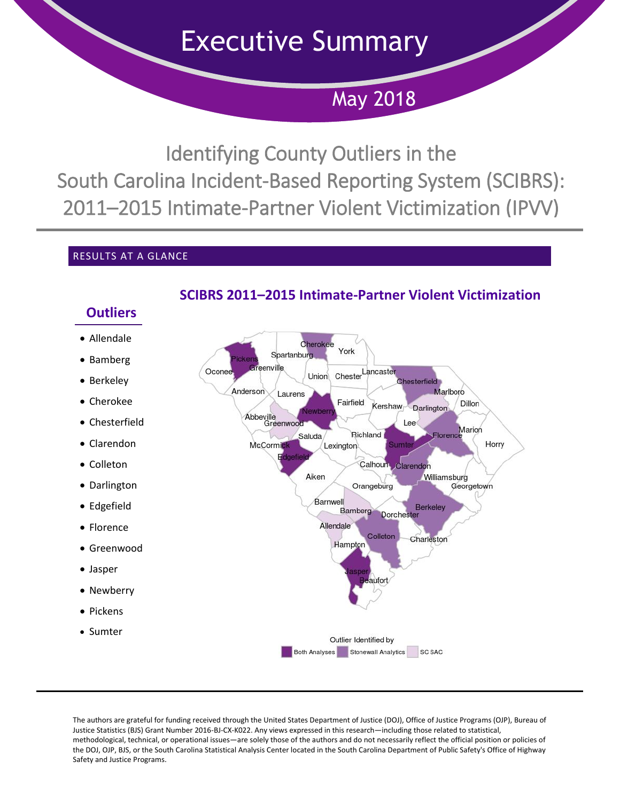Executive Summary

May 2018

Identifying County Outliers in the South Carolina Incident-Based Reporting System (SCIBRS): 2011–2015 Intimate-Partner Violent Victimization (IPVV)

## RESULTS AT A GLANCE



# **SCIBRS 2011–2015 Intimate-Partner Violent Victimization**

The authors are grateful for funding received through the United States Department of Justice (DOJ), Office of Justice Programs (OJP), Bureau of Justice Statistics (BJS) Grant Number 2016-BJ-CX-K022. Any views expressed in this research—including those related to statistical, methodological, technical, or operational issues—are solely those of the authors and do not necessarily reflect the official position or policies of the DOJ, OJP, BJS, or the South Carolina Statistical Analysis Center located in the South Carolina Department of Public Safety's Office of Highway Safety and Justice Programs.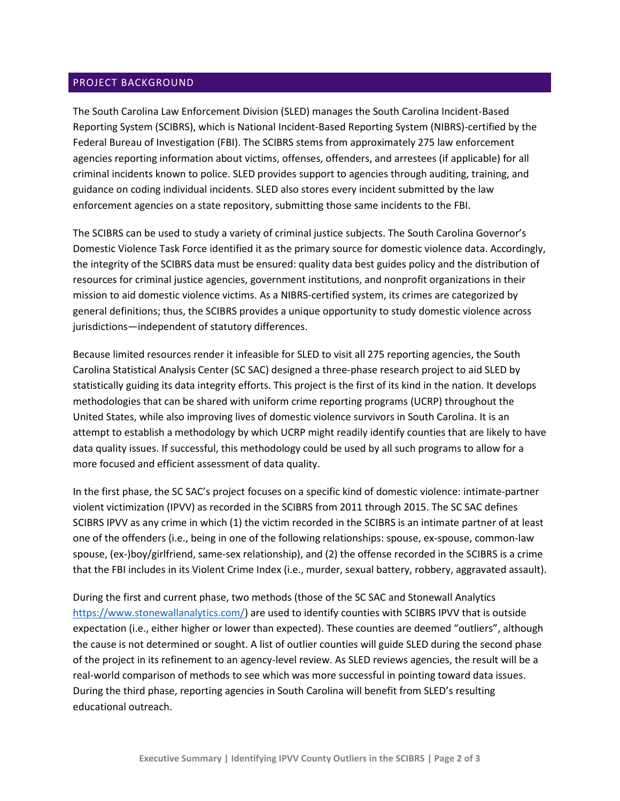### PROJECT BACKGROUND

The South Carolina Law Enforcement Division (SLED) manages the South Carolina Incident-Based Reporting System (SCIBRS), which is National Incident-Based Reporting System (NIBRS)-certified by the Federal Bureau of Investigation (FBI). The SCIBRS stems from approximately 275 law enforcement agencies reporting information about victims, offenses, offenders, and arrestees (if applicable) for all criminal incidents known to police. SLED provides support to agencies through auditing, training, and guidance on coding individual incidents. SLED also stores every incident submitted by the law enforcement agencies on a state repository, submitting those same incidents to the FBI.

The SCIBRS can be used to study a variety of criminal justice subjects. The South Carolina Governor's Domestic Violence Task Force identified it as the primary source for domestic violence data. Accordingly, the integrity of the SCIBRS data must be ensured: quality data best guides policy and the distribution of resources for criminal justice agencies, government institutions, and nonprofit organizations in their mission to aid domestic violence victims. As a NIBRS-certified system, its crimes are categorized by general definitions; thus, the SCIBRS provides a unique opportunity to study domestic violence across jurisdictions—independent of statutory differences.

Because limited resources render it infeasible for SLED to visit all 275 reporting agencies, the South Carolina Statistical Analysis Center (SC SAC) designed a three-phase research project to aid SLED by statistically guiding its data integrity efforts. This project is the first of its kind in the nation. It develops methodologies that can be shared with uniform crime reporting programs (UCRP) throughout the United States, while also improving lives of domestic violence survivors in South Carolina. It is an attempt to establish a methodology by which UCRP might readily identify counties that are likely to have data quality issues. If successful, this methodology could be used by all such programs to allow for a more focused and efficient assessment of data quality.

In the first phase, the SC SAC's project focuses on a specific kind of domestic violence: intimate-partner violent victimization (IPVV) as recorded in the SCIBRS from 2011 through 2015. The SC SAC defines SCIBRS IPVV as any crime in which (1) the victim recorded in the SCIBRS is an intimate partner of at least one of the offenders (i.e., being in one of the following relationships: spouse, ex-spouse, common-law spouse, (ex-)boy/girlfriend, same-sex relationship), and (2) the offense recorded in the SCIBRS is a crime that the FBI includes in its Violent Crime Index (i.e., murder, sexual battery, robbery, aggravated assault).

During the first and current phase, two methods (those of the SC SAC and Stonewall Analytics [https://www.stonewallanalytics.com/\)](https://www.stonewallanalytics.com/) are used to identify counties with SCIBRS IPVV that is outside expectation (i.e., either higher or lower than expected). These counties are deemed "outliers", although the cause is not determined or sought. A list of outlier counties will guide SLED during the second phase of the project in its refinement to an agency-level review. As SLED reviews agencies, the result will be a real-world comparison of methods to see which was more successful in pointing toward data issues. During the third phase, reporting agencies in South Carolina will benefit from SLED's resulting educational outreach.